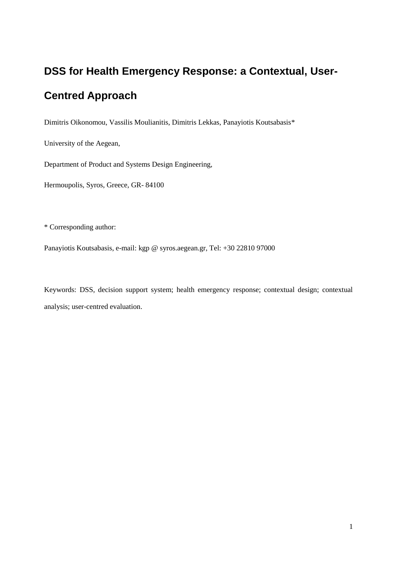# **DSS for Health Emergency Response: a Contextual, User-Centred Approach**

Dimitris Oikonomou, Vassilis Moulianitis, Dimitris Lekkas, Panayiotis Koutsabasis\*

University of the Aegean,

Department of Product and Systems Design Engineering,

Hermoupolis, Syros, Greece, GR- 84100

\* Corresponding author:

Panayiotis Koutsabasis, e-mail: kgp @ syros.aegean.gr, Tel: +30 22810 97000

Keywords: DSS, decision support system; health emergency response; contextual design; contextual analysis; user-centred evaluation.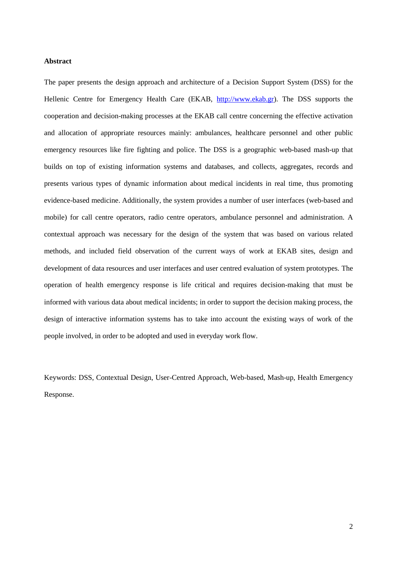#### **Abstract**

The paper presents the design approach and architecture of a Decision Support System (DSS) for the Hellenic Centre for Emergency Health Care (ΕΚΑΒ, [http://www.ekab.gr\)](http://www.ekab.gr/). The DSS supports the cooperation and decision-making processes at the EKAB call centre concerning the effective activation and allocation of appropriate resources mainly: ambulances, healthcare personnel and other public emergency resources like fire fighting and police. The DSS is a geographic web-based mash-up that builds on top of existing information systems and databases, and collects, aggregates, records and presents various types of dynamic information about medical incidents in real time, thus promoting evidence-based medicine. Additionally, the system provides a number of user interfaces (web-based and mobile) for call centre operators, radio centre operators, ambulance personnel and administration. A contextual approach was necessary for the design of the system that was based on various related methods, and included field observation of the current ways of work at EKAB sites, design and development of data resources and user interfaces and user centred evaluation of system prototypes. The operation of health emergency response is life critical and requires decision-making that must be informed with various data about medical incidents; in order to support the decision making process, the design of interactive information systems has to take into account the existing ways of work of the people involved, in order to be adopted and used in everyday work flow.

Keywords: DSS, Contextual Design, User-Centred Approach, Web-based, Mash-up, Health Emergency Response.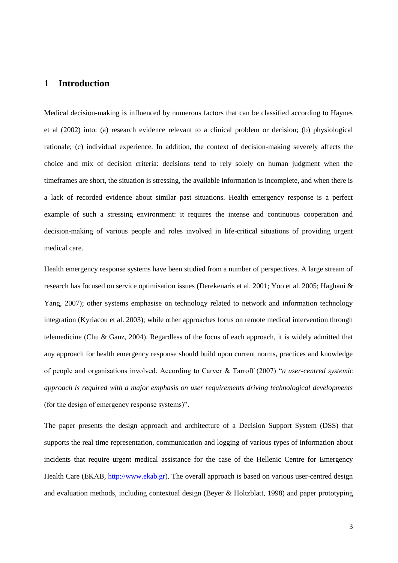## **1 Introduction**

Medical decision-making is influenced by numerous factors that can be classified according to Haynes et al (2002) into: (a) research evidence relevant to a clinical problem or decision; (b) physiological rationale; (c) individual experience. In addition, the context of decision-making severely affects the choice and mix of decision criteria: decisions tend to rely solely on human judgment when the timeframes are short, the situation is stressing, the available information is incomplete, and when there is a lack of recorded evidence about similar past situations. Health emergency response is a perfect example of such a stressing environment: it requires the intense and continuous cooperation and decision-making of various people and roles involved in life-critical situations of providing urgent medical care.

Health emergency response systems have been studied from a number of perspectives. A large stream of research has focused on service optimisation issues (Derekenaris et al. 2001; Yoo et al. 2005; Haghani & Yang, 2007); other systems emphasise on technology related to network and information technology integration (Kyriacou et al. 2003); while other approaches focus on remote medical intervention through telemedicine (Chu & Ganz, 2004). Regardless of the focus of each approach, it is widely admitted that any approach for health emergency response should build upon current norms, practices and knowledge of people and organisations involved. According to Carver & Tarroff (2007) "*a user-centred systemic approach is required with a major emphasis on user requirements driving technological developments* (for the design of emergency response systems)".

The paper presents the design approach and architecture of a Decision Support System (DSS) that supports the real time representation, communication and logging of various types of information about incidents that require urgent medical assistance for the case of the Hellenic Centre for Emergency Health Care (ΕΚΑΒ, [http://www.ekab.gr\)](http://www.ekab.gr/). The overall approach is based on various user-centred design and evaluation methods, including contextual design (Beyer & Holtzblatt, 1998) and paper prototyping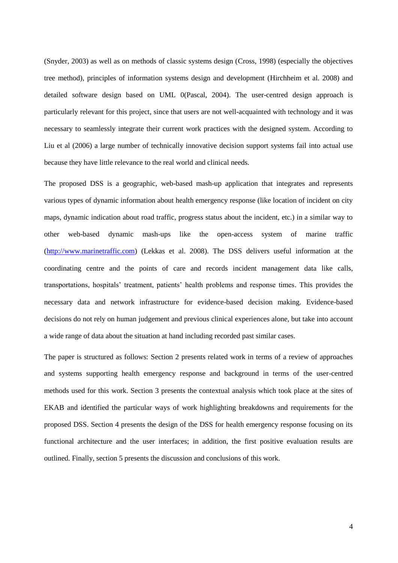(Snyder, 2003) as well as on methods of classic systems design (Cross, 1998) (especially the objectives tree method), principles of information systems design and development (Hirchheim et al. 2008) and detailed software design based on UML [0\(](#page-28-0)Pascal, 2004). The user-centred design approach is particularly relevant for this project, since that users are not well-acquainted with technology and it was necessary to seamlessly integrate their current work practices with the designed system. According to Liu et al (2006) a large number of technically innovative decision support systems fail into actual use because they have little relevance to the real world and clinical needs.

The proposed DSS is a geographic, web-based mash-up application that integrates and represents various types of dynamic information about health emergency response (like location of incident on city maps, dynamic indication about road traffic, progress status about the incident, etc.) in a similar way to other web-based dynamic mash-ups like the open-access system of marine traffic [\(http://www.marinetraffic.com\)](http://www.marinetraffic.com/) (Lekkas et al. 2008). The DSS delivers useful information at the coordinating centre and the points of care and records incident management data like calls, transportations, hospitals" treatment, patients" health problems and response times. This provides the necessary data and network infrastructure for evidence-based decision making. Evidence-based decisions do not rely on human judgement and previous clinical experiences alone, but take into account a wide range of data about the situation at hand including recorded past similar cases.

The paper is structured as follows: Section 2 presents related work in terms of a review of approaches and systems supporting health emergency response and background in terms of the user-centred methods used for this work. Section 3 presents the contextual analysis which took place at the sites of EKAB and identified the particular ways of work highlighting breakdowns and requirements for the proposed DSS. Section 4 presents the design of the DSS for health emergency response focusing on its functional architecture and the user interfaces; in addition, the first positive evaluation results are outlined. Finally, section 5 presents the discussion and conclusions of this work.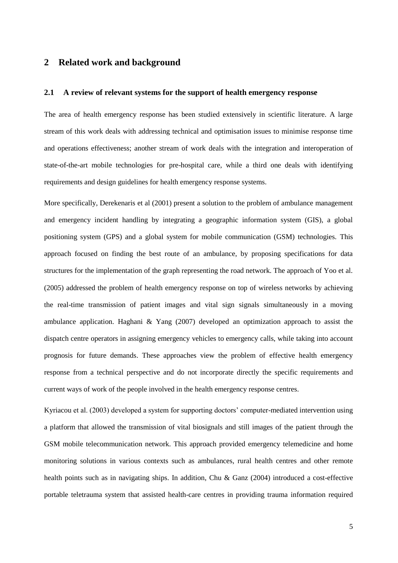# **2 Related work and background**

## **2.1 A review of relevant systems for the support of health emergency response**

The area of health emergency response has been studied extensively in scientific literature. A large stream of this work deals with addressing technical and optimisation issues to minimise response time and operations effectiveness; another stream of work deals with the integration and interoperation of state-of-the-art mobile technologies for pre-hospital care, while a third one deals with identifying requirements and design guidelines for health emergency response systems.

More specifically, Derekenaris et al (2001) present a solution to the problem of ambulance management and emergency incident handling by integrating a geographic information system (GIS), a global positioning system (GPS) and a global system for mobile communication (GSM) technologies. This approach focused on finding the best route of an ambulance, by proposing specifications for data structures for the implementation of the graph representing the road network. The approach of Yoo et al. (2005) addressed the problem of health emergency response on top of wireless networks by achieving the real-time transmission of patient images and vital sign signals simultaneously in a moving ambulance application. Haghani & Yang (2007) developed an optimization approach to assist the dispatch centre operators in assigning emergency vehicles to emergency calls, while taking into account prognosis for future demands. These approaches view the problem of effective health emergency response from a technical perspective and do not incorporate directly the specific requirements and current ways of work of the people involved in the health emergency response centres.

Kyriacou et al. (2003) developed a system for supporting doctors' computer-mediated intervention using a platform that allowed the transmission of vital biosignals and still images of the patient through the GSM mobile telecommunication network. This approach provided emergency telemedicine and home monitoring solutions in various contexts such as ambulances, rural health centres and other remote health points such as in navigating ships. In addition, Chu & Ganz (2004) introduced a cost-effective portable teletrauma system that assisted health-care centres in providing trauma information required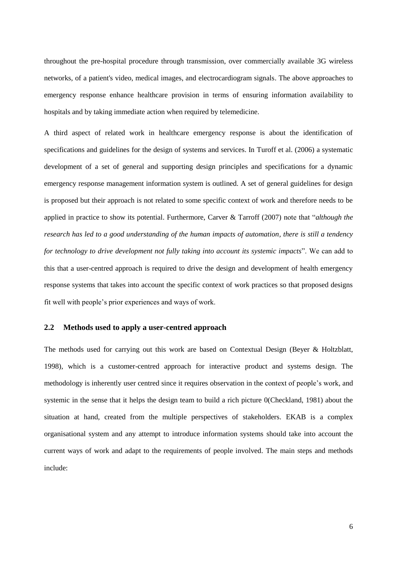throughout the pre-hospital procedure through transmission, over commercially available 3G wireless networks, of a patient's video, medical images, and electrocardiogram signals. The above approaches to emergency response enhance healthcare provision in terms of ensuring information availability to hospitals and by taking immediate action when required by telemedicine.

A third aspect of related work in healthcare emergency response is about the identification of specifications and guidelines for the design of systems and services. In Turoff et al. (2006) a systematic development of a set of general and supporting design principles and specifications for a dynamic emergency response management information system is outlined. A set of general guidelines for design is proposed but their approach is not related to some specific context of work and therefore needs to be applied in practice to show its potential. Furthermore, Carver & Tarroff (2007) note that "*although the research has led to a good understanding of the human impacts of automation, there is still a tendency for technology to drive development not fully taking into account its systemic impacts*". We can add to this that a user-centred approach is required to drive the design and development of health emergency response systems that takes into account the specific context of work practices so that proposed designs fit well with people"s prior experiences and ways of work.

## **2.2 Methods used to apply a user-centred approach**

The methods used for carrying out this work are based on Contextual Design (Beyer & Holtzblatt, 1998), which is a customer-centred approach for interactive product and systems design. The methodology is inherently user centred since it requires observation in the context of people"s work, and systemic in the sense that it helps the design team to build a rich picture [0\(](#page-26-0)Checkland, 1981) about the situation at hand, created from the multiple perspectives of stakeholders. EKAB is a complex organisational system and any attempt to introduce information systems should take into account the current ways of work and adapt to the requirements of people involved. The main steps and methods include: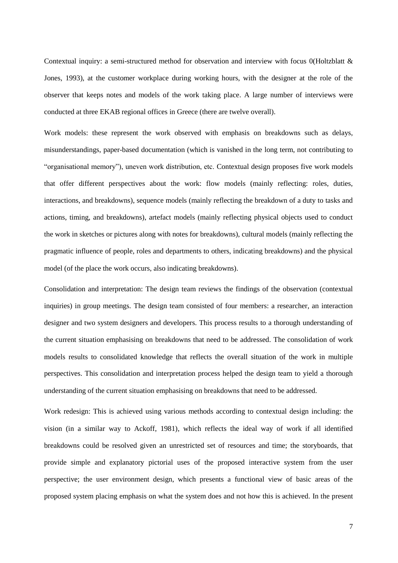Contextual inquiry: a semi-structured method for observation and interview with focus [0\(](#page-27-0)Holtzblatt & Jones, 1993), at the customer workplace during working hours, with the designer at the role of the observer that keeps notes and models of the work taking place. A large number of interviews were conducted at three EKAB regional offices in Greece (there are twelve overall).

Work models: these represent the work observed with emphasis on breakdowns such as delays, misunderstandings, paper-based documentation (which is vanished in the long term, not contributing to "organisational memory"), uneven work distribution, etc. Contextual design proposes five work models that offer different perspectives about the work: flow models (mainly reflecting: roles, duties, interactions, and breakdowns), sequence models (mainly reflecting the breakdown of a duty to tasks and actions, timing, and breakdowns), artefact models (mainly reflecting physical objects used to conduct the work in sketches or pictures along with notes for breakdowns), cultural models (mainly reflecting the pragmatic influence of people, roles and departments to others, indicating breakdowns) and the physical model (of the place the work occurs, also indicating breakdowns).

Consolidation and interpretation: The design team reviews the findings of the observation (contextual inquiries) in group meetings. The design team consisted of four members: a researcher, an interaction designer and two system designers and developers. This process results to a thorough understanding of the current situation emphasising on breakdowns that need to be addressed. The consolidation of work models results to consolidated knowledge that reflects the overall situation of the work in multiple perspectives. This consolidation and interpretation process helped the design team to yield a thorough understanding of the current situation emphasising on breakdowns that need to be addressed.

Work redesign: This is achieved using various methods according to contextual design including: the vision (in a similar way to Ackoff, 1981), which reflects the ideal way of work if all identified breakdowns could be resolved given an unrestricted set of resources and time; the storyboards, that provide simple and explanatory pictorial uses of the proposed interactive system from the user perspective; the user environment design, which presents a functional view of basic areas of the proposed system placing emphasis on what the system does and not how this is achieved. In the present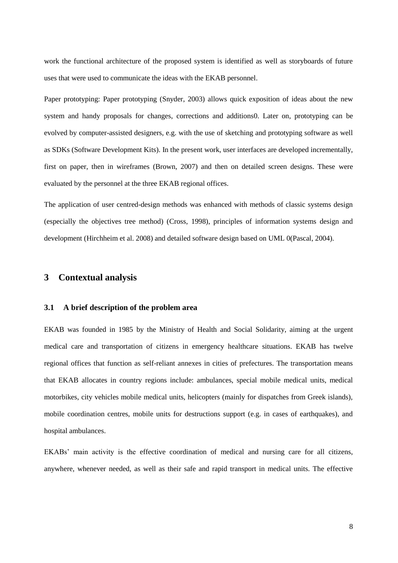work the functional architecture of the proposed system is identified as well as storyboards of future uses that were used to communicate the ideas with the EKAB personnel.

Paper prototyping: Paper prototyping (Snyder, 2003) allows quick exposition of ideas about the new system and handy proposals for changes, corrections and addition[s0.](#page-28-1) Later on, prototyping can be evolved by computer-assisted designers, e.g. with the use of sketching and prototyping software as well as SDKs (Software Development Kits). In the present work, user interfaces are developed incrementally, first on paper, then in wireframes (Brown, 2007) and then on detailed screen designs. These were evaluated by the personnel at the three EKAB regional offices.

The application of user centred-design methods was enhanced with methods of classic systems design (especially the objectives tree method) (Cross, 1998), principles of information systems design and development (Hirchheim et al. 2008) and detailed software design based on UML [0\(](#page-28-0)Pascal, 2004).

# **3 Contextual analysis**

## **3.1 A brief description of the problem area**

EKAB was founded in 1985 by the Ministry of Health and Social Solidarity, aiming at the urgent medical care and transportation of citizens in emergency healthcare situations. EKAB has twelve regional offices that function as self-reliant annexes in cities of prefectures. The transportation means that EKAB allocates in country regions include: ambulances, special mobile medical units, medical motorbikes, city vehicles mobile medical units, helicopters (mainly for dispatches from Greek islands), mobile coordination centres, mobile units for destructions support (e.g. in cases of earthquakes), and hospital ambulances.

EKABs" main activity is the effective coordination of medical and nursing care for all citizens, anywhere, whenever needed, as well as their safe and rapid transport in medical units. The effective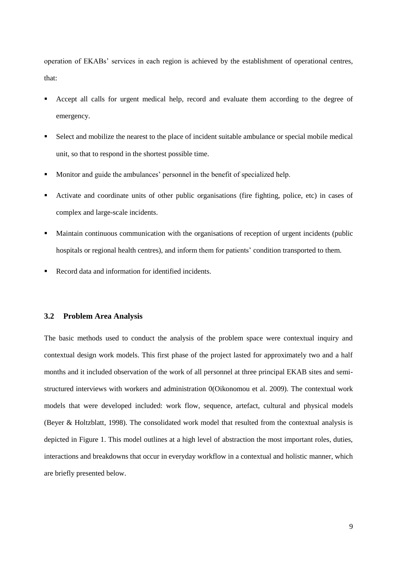operation of EKABs" services in each region is achieved by the establishment of operational centres, that:

- Accept all calls for urgent medical help, record and evaluate them according to the degree of emergency.
- Select and mobilize the nearest to the place of incident suitable ambulance or special mobile medical unit, so that to respond in the shortest possible time.
- Monitor and guide the ambulances' personnel in the benefit of specialized help.
- Activate and coordinate units of other public organisations (fire fighting, police, etc) in cases of complex and large-scale incidents.
- Maintain continuous communication with the organisations of reception of urgent incidents (public hospitals or regional health centres), and inform them for patients' condition transported to them.
- Record data and information for identified incidents.

## **3.2 Problem Area Analysis**

The basic methods used to conduct the analysis of the problem space were contextual inquiry and contextual design work models. This first phase of the project lasted for approximately two and a half months and it included observation of the work of all personnel at three principal EKAB sites and semistructured interviews with workers and administration [0\(](#page-28-2)Oikonomou et al. 2009). The contextual work models that were developed included: work flow, sequence, artefact, cultural and physical models (Beyer & Holtzblatt, 1998). The consolidated work model that resulted from the contextual analysis is depicted in [Figure 1.](#page-9-0) This model outlines at a high level of abstraction the most important roles, duties, interactions and breakdowns that occur in everyday workflow in a contextual and holistic manner, which are briefly presented below.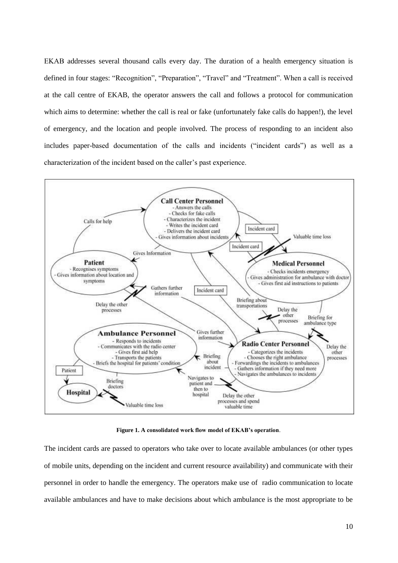ΕΚΑΒ addresses several thousand calls every day. The duration of a health emergency situation is defined in four stages: "Recognition", "Preparation", "Travel" and "Treatment". When a call is received at the call centre of EKAB, the operator answers the call and follows a protocol for communication which aims to determine: whether the call is real or fake (unfortunately fake calls do happen!), the level of emergency, and the location and people involved. The process of responding to an incident also includes paper-based documentation of the calls and incidents ("incident cards") as well as a characterization of the incident based on the caller"s past experience.



**Figure 1. A consolidated work flow model of EKAB's operation**.

<span id="page-9-0"></span>The incident cards are passed to operators who take over to locate available ambulances (or other types of mobile units, depending on the incident and current resource availability) and communicate with their personnel in order to handle the emergency. The operators make use of radio communication to locate available ambulances and have to make decisions about which ambulance is the most appropriate to be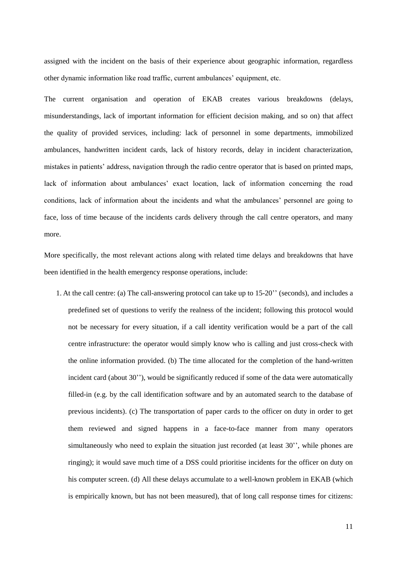assigned with the incident on the basis of their experience about geographic information, regardless other dynamic information like road traffic, current ambulances" equipment, etc.

The current organisation and operation of EKAB creates various breakdowns (delays, misunderstandings, lack of important information for efficient decision making, and so on) that affect the quality of provided services, including: lack of personnel in some departments, immobilized ambulances, handwritten incident cards, lack of history records, delay in incident characterization, mistakes in patients" address, navigation through the radio centre operator that is based on printed maps, lack of information about ambulances' exact location, lack of information concerning the road conditions, lack of information about the incidents and what the ambulances' personnel are going to face, loss of time because of the incidents cards delivery through the call centre operators, and many more.

More specifically, the most relevant actions along with related time delays and breakdowns that have been identified in the health emergency response operations, include:

1. At the call centre: (a) The call-answering protocol can take up to 15-20"" (seconds), and includes a predefined set of questions to verify the realness of the incident; following this protocol would not be necessary for every situation, if a call identity verification would be a part of the call centre infrastructure: the operator would simply know who is calling and just cross-check with the online information provided. (b) The time allocated for the completion of the hand-written incident card (about  $30$ "), would be significantly reduced if some of the data were automatically filled-in (e.g. by the call identification software and by an automated search to the database of previous incidents). (c) The transportation of paper cards to the officer on duty in order to get them reviewed and signed happens in a face-to-face manner from many operators simultaneously who need to explain the situation just recorded (at least 30", while phones are ringing); it would save much time of a DSS could prioritise incidents for the officer on duty on his computer screen. (d) All these delays accumulate to a well-known problem in EKAB (which is empirically known, but has not been measured), that of long call response times for citizens: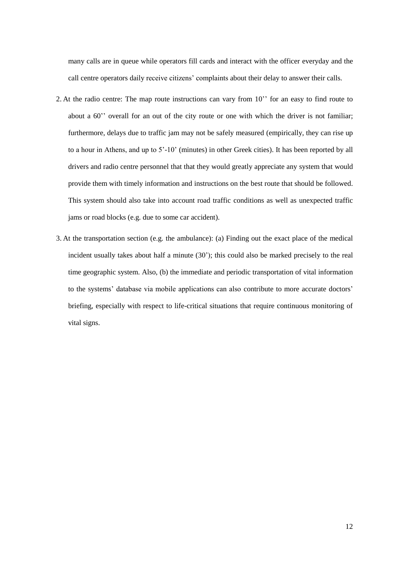many calls are in queue while operators fill cards and interact with the officer everyday and the call centre operators daily receive citizens" complaints about their delay to answer their calls.

- 2. At the radio centre: The map route instructions can vary from 10" for an easy to find route to about a 60" overall for an out of the city route or one with which the driver is not familiar; furthermore, delays due to traffic jam may not be safely measured (empirically, they can rise up to a hour in Athens, and up to 5"-10" (minutes) in other Greek cities). It has been reported by all drivers and radio centre personnel that that they would greatly appreciate any system that would provide them with timely information and instructions on the best route that should be followed. This system should also take into account road traffic conditions as well as unexpected traffic jams or road blocks (e.g. due to some car accident).
- 3. At the transportation section (e.g. the ambulance): (a) Finding out the exact place of the medical incident usually takes about half a minute (30"); this could also be marked precisely to the real time geographic system. Also, (b) the immediate and periodic transportation of vital information to the systems" database via mobile applications can also contribute to more accurate doctors" briefing, especially with respect to life-critical situations that require continuous monitoring of vital signs.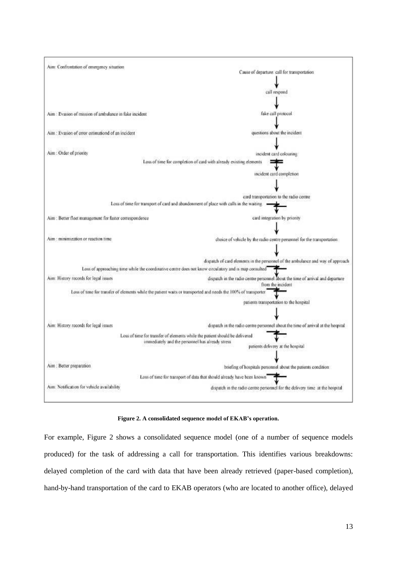

#### **Figure 2. A consolidated sequence model of EKAB's operation.**

<span id="page-12-0"></span>For example, [Figure 2](#page-12-0) shows a consolidated sequence model (one of a number of sequence models produced) for the task of addressing a call for transportation. This identifies various breakdowns: delayed completion of the card with data that have been already retrieved (paper-based completion), hand-by-hand transportation of the card to EKAB operators (who are located to another office), delayed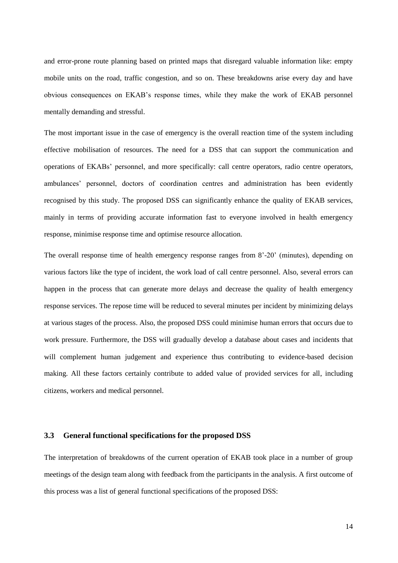and error-prone route planning based on printed maps that disregard valuable information like: empty mobile units on the road, traffic congestion, and so on. These breakdowns arise every day and have obvious consequences on EKAB"s response times, while they make the work of EKAB personnel mentally demanding and stressful.

The most important issue in the case of emergency is the overall reaction time of the system including effective mobilisation of resources. The need for a DSS that can support the communication and operations of EKABs" personnel, and more specifically: call centre operators, radio centre operators, ambulances" personnel, doctors of coordination centres and administration has been evidently recognised by this study. The proposed DSS can significantly enhance the quality of EKAB services, mainly in terms of providing accurate information fast to everyone involved in health emergency response, minimise response time and optimise resource allocation.

The overall response time of health emergency response ranges from 8"-20" (minutes), depending on various factors like the type of incident, the work load of call centre personnel. Also, several errors can happen in the process that can generate more delays and decrease the quality of health emergency response services. The repose time will be reduced to several minutes per incident by minimizing delays at various stages of the process. Also, the proposed DSS could minimise human errors that occurs due to work pressure. Furthermore, the DSS will gradually develop a database about cases and incidents that will complement human judgement and experience thus contributing to evidence-based decision making. All these factors certainly contribute to added value of provided services for all, including citizens, workers and medical personnel.

### **3.3 General functional specifications for the proposed DSS**

The interpretation of breakdowns of the current operation of EKAB took place in a number of group meetings of the design team along with feedback from the participants in the analysis. A first outcome of this process was a list of general functional specifications of the proposed DSS: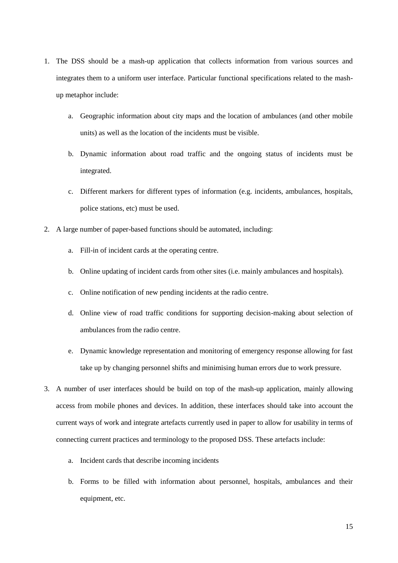- 1. The DSS should be a mash-up application that collects information from various sources and integrates them to a uniform user interface. Particular functional specifications related to the mashup metaphor include:
	- a. Geographic information about city maps and the location of ambulances (and other mobile units) as well as the location of the incidents must be visible.
	- b. Dynamic information about road traffic and the ongoing status of incidents must be integrated.
	- c. Different markers for different types of information (e.g. incidents, ambulances, hospitals, police stations, etc) must be used.
- 2. A large number of paper-based functions should be automated, including:
	- a. Fill-in of incident cards at the operating centre.
	- b. Online updating of incident cards from other sites (i.e. mainly ambulances and hospitals).
	- c. Online notification of new pending incidents at the radio centre.
	- d. Online view of road traffic conditions for supporting decision-making about selection of ambulances from the radio centre.
	- e. Dynamic knowledge representation and monitoring of emergency response allowing for fast take up by changing personnel shifts and minimising human errors due to work pressure.
- 3. A number of user interfaces should be build on top of the mash-up application, mainly allowing access from mobile phones and devices. In addition, these interfaces should take into account the current ways of work and integrate artefacts currently used in paper to allow for usability in terms of connecting current practices and terminology to the proposed DSS. These artefacts include:
	- a. Incident cards that describe incoming incidents
	- b. Forms to be filled with information about personnel, hospitals, ambulances and their equipment, etc.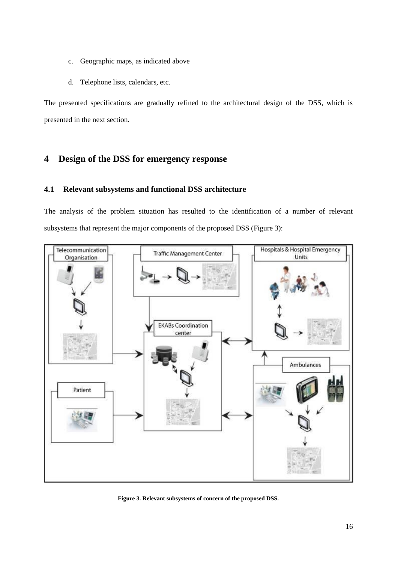- c. Geographic maps, as indicated above
- d. Telephone lists, calendars, etc.

The presented specifications are gradually refined to the architectural design of the DSS, which is presented in the next section.

# **4 Design of the DSS for emergency response**

## **4.1 Relevant subsystems and functional DSS architecture**

The analysis of the problem situation has resulted to the identification of a number of relevant subsystems that represent the major components of the proposed DSS [\(Figure 3\)](#page-15-0):



<span id="page-15-0"></span>**Figure 3. Relevant subsystems of concern of the proposed DSS.**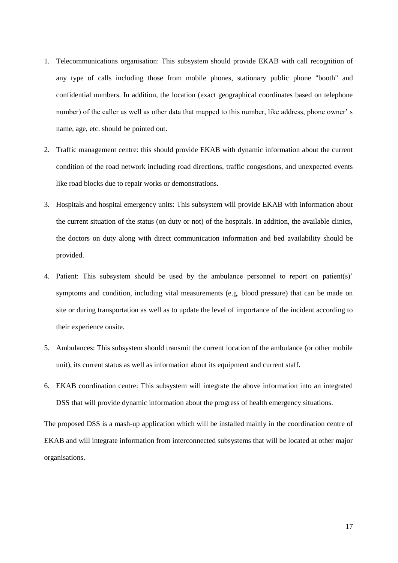- 1. Telecommunications organisation: This subsystem should provide EKAB with call recognition of any type of calls including those from mobile phones, stationary public phone "booth" and confidential numbers. In addition, the location (exact geographical coordinates based on telephone number) of the caller as well as other data that mapped to this number, like address, phone owner" s name, age, etc. should be pointed out.
- 2. Traffic management centre: this should provide EKAB with dynamic information about the current condition of the road network including road directions, traffic congestions, and unexpected events like road blocks due to repair works or demonstrations.
- 3. Hospitals and hospital emergency units: This subsystem will provide EKAB with information about the current situation of the status (on duty or not) of the hospitals. In addition, the available clinics, the doctors on duty along with direct communication information and bed availability should be provided.
- 4. Patient: This subsystem should be used by the ambulance personnel to report on patient(s)" symptoms and condition, including vital measurements (e.g. blood pressure) that can be made on site or during transportation as well as to update the level of importance of the incident according to their experience onsite.
- 5. Ambulances: This subsystem should transmit the current location of the ambulance (or other mobile unit), its current status as well as information about its equipment and current staff.
- 6. EKAB coordination centre: This subsystem will integrate the above information into an integrated DSS that will provide dynamic information about the progress of health emergency situations.

The proposed DSS is a mash-up application which will be installed mainly in the coordination centre of EKAB and will integrate information from interconnected subsystems that will be located at other major organisations.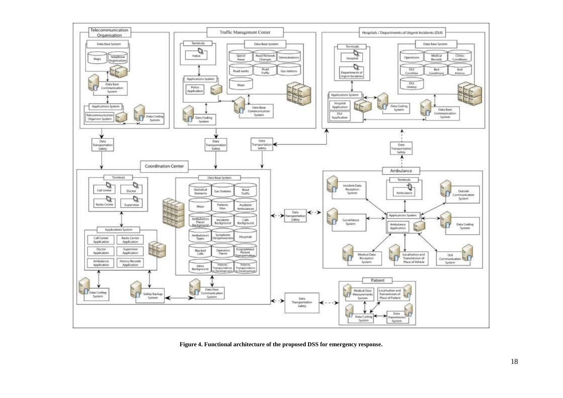

<span id="page-17-0"></span>**Figure 4. Functional architecture of the proposed DSS for emergency response.**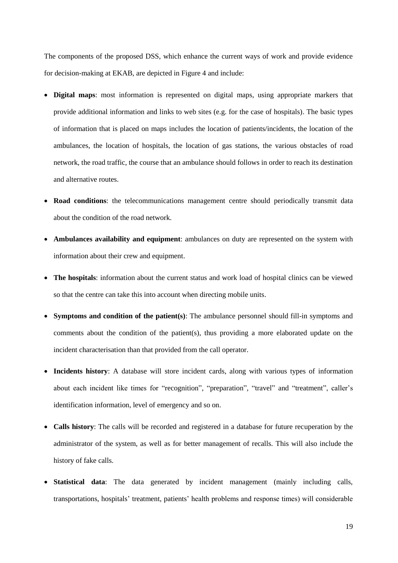The components of the proposed DSS, which enhance the current ways of work and provide evidence for decision-making at EKAB, are depicted in [Figure 4](#page-17-0) and include:

- **Digital maps**: most information is represented on digital maps, using appropriate markers that provide additional information and links to web sites (e.g. for the case of hospitals). The basic types of information that is placed on maps includes the location of patients/incidents, the location of the ambulances, the location of hospitals, the location of gas stations, the various obstacles of road network, the road traffic, the course that an ambulance should follows in order to reach its destination and alternative routes.
- **Road conditions**: the telecommunications management centre should periodically transmit data about the condition of the road network.
- **Ambulances availability and equipment**: ambulances on duty are represented on the system with information about their crew and equipment.
- **The hospitals**: information about the current status and work load of hospital clinics can be viewed so that the centre can take this into account when directing mobile units.
- **Symptoms and condition of the patient(s)**: The ambulance personnel should fill-in symptoms and comments about the condition of the patient(s), thus providing a more elaborated update on the incident characterisation than that provided from the call operator.
- **Incidents history**: A database will store incident cards, along with various types of information about each incident like times for "recognition", "preparation", "travel" and "treatment", caller's identification information, level of emergency and so on.
- **Calls history**: The calls will be recorded and registered in a database for future recuperation by the administrator of the system, as well as for better management of recalls. This will also include the history of fake calls.
- **Statistical data**: The data generated by incident management (mainly including calls, transportations, hospitals" treatment, patients" health problems and response times) will considerable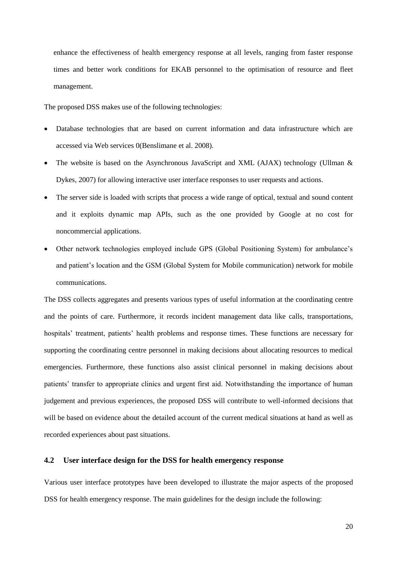enhance the effectiveness of health emergency response at all levels, ranging from faster response times and better work conditions for EKAB personnel to the optimisation of resource and fleet management.

The proposed DSS makes use of the following technologies:

- Database technologies that are based on current information and data infrastructure which are accessed via Web services [0\(](#page-26-1)Benslimane et al. 2008).
- The website is based on the Asynchronous JavaScript and XML (AJAX) technology (Ullman & Dykes, 2007) for allowing interactive user interface responses to user requests and actions.
- The server side is loaded with scripts that process a wide range of optical, textual and sound content and it exploits dynamic map APIs, such as the one provided by Google at no cost for noncommercial applications.
- Other network technologies employed include GPS (Global Positioning System) for ambulance"s and patient"s location and the GSM (Global System for Mobile communication) network for mobile communications.

The DSS collects aggregates and presents various types of useful information at the coordinating centre and the points of care. Furthermore, it records incident management data like calls, transportations, hospitals' treatment, patients' health problems and response times. These functions are necessary for supporting the coordinating centre personnel in making decisions about allocating resources to medical emergencies. Furthermore, these functions also assist clinical personnel in making decisions about patients" transfer to appropriate clinics and urgent first aid. Notwithstanding the importance of human judgement and previous experiences, the proposed DSS will contribute to well-informed decisions that will be based on evidence about the detailed account of the current medical situations at hand as well as recorded experiences about past situations.

## **4.2 User interface design for the DSS for health emergency response**

Various user interface prototypes have been developed to illustrate the major aspects of the proposed DSS for health emergency response. The main guidelines for the design include the following: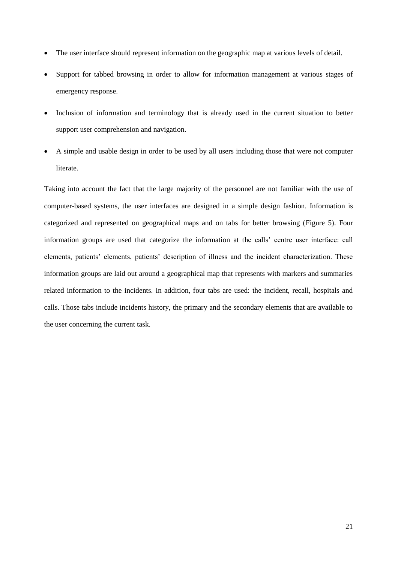- The user interface should represent information on the geographic map at various levels of detail.
- Support for tabbed browsing in order to allow for information management at various stages of emergency response.
- Inclusion of information and terminology that is already used in the current situation to better support user comprehension and navigation.
- A simple and usable design in order to be used by all users including those that were not computer literate.

Taking into account the fact that the large majority of the personnel are not familiar with the use of computer-based systems, the user interfaces are designed in a simple design fashion. Information is categorized and represented on geographical maps and on tabs for better browsing [\(Figure 5\)](#page-21-0). Four information groups are used that categorize the information at the calls" centre user interface: call elements, patients' elements, patients' description of illness and the incident characterization. These information groups are laid out around a geographical map that represents with markers and summaries related information to the incidents. In addition, four tabs are used: the incident, recall, hospitals and calls. Those tabs include incidents history, the primary and the secondary elements that are available to the user concerning the current task.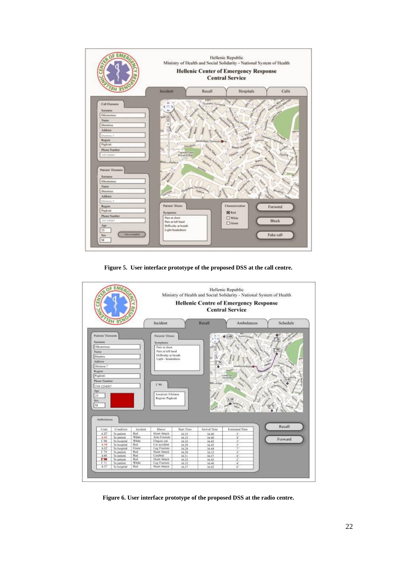

**Figure 5. User interface prototype of the proposed DSS at the call centre.**

<span id="page-21-0"></span>

<span id="page-21-1"></span>**Figure 6. User interface prototype of the proposed DSS at the radio centre.**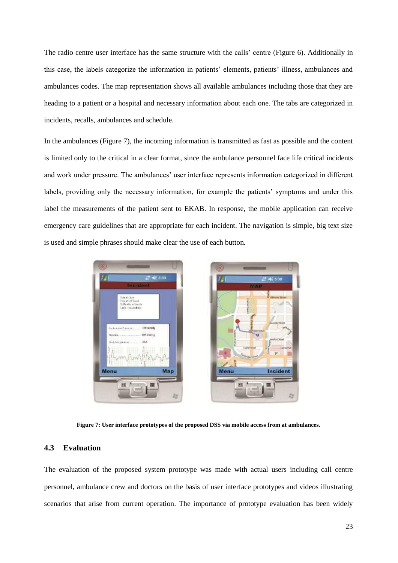The radio centre user interface has the same structure with the calls" centre [\(Figure 6\)](#page-21-1). Additionally in this case, the labels categorize the information in patients" elements, patients" illness, ambulances and ambulances codes. The map representation shows all available ambulances including those that they are heading to a patient or a hospital and necessary information about each one. The tabs are categorized in incidents, recalls, ambulances and schedule.

In the ambulances [\(Figure 7\)](#page-22-0), the incoming information is transmitted as fast as possible and the content is limited only to the critical in a clear format, since the ambulance personnel face life critical incidents and work under pressure. The ambulances' user interface represents information categorized in different labels, providing only the necessary information, for example the patients' symptoms and under this label the measurements of the patient sent to EKAB. In response, the mobile application can receive emergency care guidelines that are appropriate for each incident. The navigation is simple, big text size is used and simple phrases should make clear the use of each button.



**Figure 7: User interface prototypes of the proposed DSS via mobile access from at ambulances.**

Incident

## <span id="page-22-0"></span>**4.3 Evaluation**

The evaluation of the proposed system prototype was made with actual users including call centre personnel, ambulance crew and doctors on the basis of user interface prototypes and videos illustrating scenarios that arise from current operation. The importance of prototype evaluation has been widely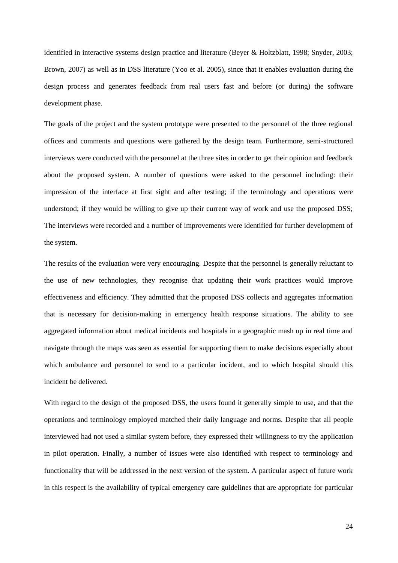identified in interactive systems design practice and literature (Beyer & Holtzblatt, 1998; Snyder, 2003; Brown, 2007) as well as in DSS literature (Yoo et al. 2005), since that it enables evaluation during the design process and generates feedback from real users fast and before (or during) the software development phase.

The goals of the project and the system prototype were presented to the personnel of the three regional offices and comments and questions were gathered by the design team. Furthermore, semi-structured interviews were conducted with the personnel at the three sites in order to get their opinion and feedback about the proposed system. A number of questions were asked to the personnel including: their impression of the interface at first sight and after testing; if the terminology and operations were understood; if they would be willing to give up their current way of work and use the proposed DSS; The interviews were recorded and a number of improvements were identified for further development of the system.

The results of the evaluation were very encouraging. Despite that the personnel is generally reluctant to the use of new technologies, they recognise that updating their work practices would improve effectiveness and efficiency. They admitted that the proposed DSS collects and aggregates information that is necessary for decision-making in emergency health response situations. The ability to see aggregated information about medical incidents and hospitals in a geographic mash up in real time and navigate through the maps was seen as essential for supporting them to make decisions especially about which ambulance and personnel to send to a particular incident, and to which hospital should this incident be delivered.

With regard to the design of the proposed DSS, the users found it generally simple to use, and that the operations and terminology employed matched their daily language and norms. Despite that all people interviewed had not used a similar system before, they expressed their willingness to try the application in pilot operation. Finally, a number of issues were also identified with respect to terminology and functionality that will be addressed in the next version of the system. A particular aspect of future work in this respect is the availability of typical emergency care guidelines that are appropriate for particular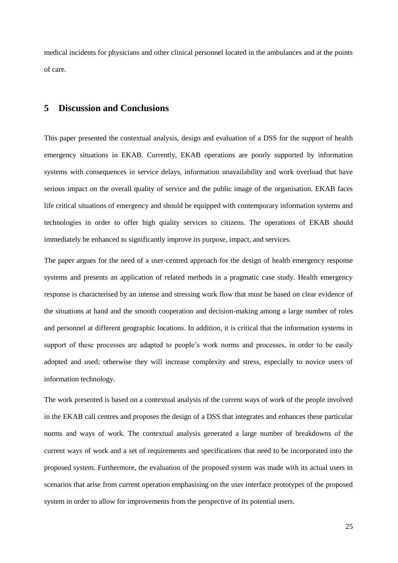medical incidents for physicians and other clinical personnel located in the ambulances and at the points of care.

# **5 Discussion and Conclusions**

This paper presented the contextual analysis, design and evaluation of a DSS for the support of health emergency situations in EKAB. Currently, EKAB operations are poorly supported by information systems with consequences in service delays, information unavailability and work overload that have serious impact on the overall quality of service and the public image of the organisation. EKAB faces life critical situations of emergency and should be equipped with contemporary information systems and technologies in order to offer high quality services to citizens. The operations of EKAB should immediately be enhanced to significantly improve its purpose, impact, and services.

The paper argues for the need of a user-centred approach for the design of health emergency response systems and presents an application of related methods in a pragmatic case study. Health emergency response is characterised by an intense and stressing work flow that must be based on clear evidence of the situations at hand and the smooth cooperation and decision-making among a large number of roles and personnel at different geographic locations. In addition, it is critical that the information systems in support of these processes are adapted to people's work norms and processes, in order to be easily adopted and used; otherwise they will increase complexity and stress, especially to novice users of information technology.

The work presented is based on a contextual analysis of the current ways of work of the people involved in the EKAB call centres and proposes the design of a DSS that integrates and enhances these particular norms and ways of work. The contextual analysis generated a large number of breakdowns of the current ways of work and a set of requirements and specifications that need to be incorporated into the proposed system. Furthermore, the evaluation of the proposed system was made with its actual users in scenarios that arise from current operation emphasising on the user interface prototypes of the proposed system in order to allow for improvements from the perspective of its potential users.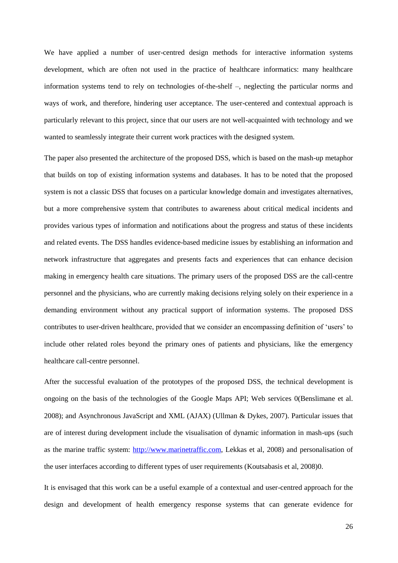We have applied a number of user-centred design methods for interactive information systems development, which are often not used in the practice of healthcare informatics: many healthcare information systems tend to rely on technologies of-the-shelf –, neglecting the particular norms and ways of work, and therefore, hindering user acceptance. The user-centered and contextual approach is particularly relevant to this project, since that our users are not well-acquainted with technology and we wanted to seamlessly integrate their current work practices with the designed system.

The paper also presented the architecture of the proposed DSS, which is based on the mash-up metaphor that builds on top of existing information systems and databases. It has to be noted that the proposed system is not a classic DSS that focuses on a particular knowledge domain and investigates alternatives, but a more comprehensive system that contributes to awareness about critical medical incidents and provides various types of information and notifications about the progress and status of these incidents and related events. The DSS handles evidence-based medicine issues by establishing an information and network infrastructure that aggregates and presents facts and experiences that can enhance decision making in emergency health care situations. The primary users of the proposed DSS are the call-centre personnel and the physicians, who are currently making decisions relying solely on their experience in a demanding environment without any practical support of information systems. The proposed DSS contributes to user-driven healthcare, provided that we consider an encompassing definition of "users" to include other related roles beyond the primary ones of patients and physicians, like the emergency healthcare call-centre personnel.

After the successful evaluation of the prototypes of the proposed DSS, the technical development is ongoing on the basis of the technologies of the Google Maps API; Web services [0\(](#page-26-1)Benslimane et al. 2008); and Asynchronous JavaScript and XML (AJAX) (Ullman & Dykes, 2007). Particular issues that are of interest during development include the visualisation of dynamic information in mash-ups (such as the marine traffic system: [http://www.marinetraffic.com,](http://www.marinetraffic.com/) Lekkas et al, 2008) and personalisation of the user interfaces according to different types of user requirements (Koutsabasis et al, 2008[\)0.](#page-27-1)

It is envisaged that this work can be a useful example of a contextual and user-centred approach for the design and development of health emergency response systems that can generate evidence for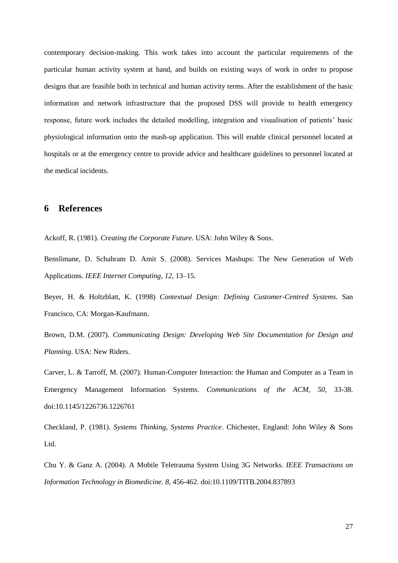contemporary decision-making. This work takes into account the particular requirements of the particular human activity system at hand, and builds on existing ways of work in order to propose designs that are feasible both in technical and human activity terms. After the establishment of the basic information and network infrastructure that the proposed DSS will provide to health emergency response, future work includes the detailed modelling, integration and visualisation of patients" basic physiological information onto the mash-up application. This will enable clinical personnel located at hospitals or at the emergency centre to provide advice and healthcare guidelines to personnel located at the medical incidents.

# **6 References**

<span id="page-26-1"></span>Ackoff, R. (1981). *Creating the Corporate Future*. USA: John Wiley & Sons.

Benslimane, D. Schahram D. Amit S. (2008). Services Mashups: The New Generation of Web Applications. *IEEE Internet Computing*, *12*, 13–15.

Beyer, H. & Holtzblatt, K. (1998) *Contextual Design: Defining Customer-Centred Systems*. San Francisco, CA: Morgan-Kaufmann.

Brown, D.M. (2007). *Communicating Design: Developing Web Site Documentation for Design and Planning*. USA: New Riders.

Carver, L. & Tarroff, M. (2007). Human-Computer Interaction: the Human and Computer as a Team in Emergency Management Information Systems. *Communications of the ACM, 50*, 33-38. doi:10.1145/1226736.1226761

<span id="page-26-0"></span>Checkland, P. (1981). *Systems Thinking, Systems Practice*. Chichester, England: John Wiley & Sons Ltd.

Chu Y. & Ganz A. (2004). A Mobile Teletrauma System Using 3G Networks. *IEEE Transactions on Information Technology in Biomedicine. 8,* 456-462. doi:10.1109/TITB.2004.837893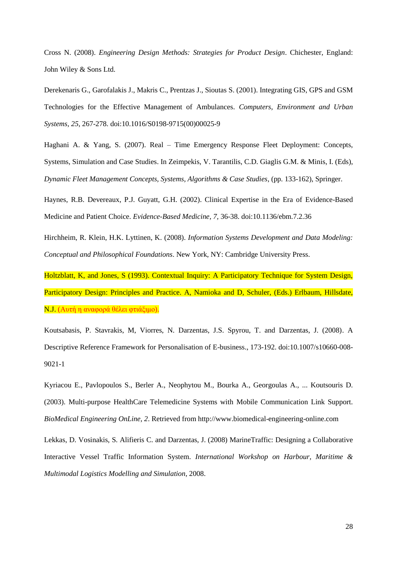Cross N. (2008). *Engineering Design Methods: Strategies for Product Design*. Chichester, England: John Wiley & Sons Ltd.

Derekenaris G., Garofalakis J., Makris C., Prentzas J., Sioutas S. (2001). Integrating GIS, GPS and GSM Technologies for the Effective Management of Ambulances. *Computers, Environment and Urban Systems, 25*, 267-278. doi:10.1016/S0198-9715(00)00025-9

Haghani A. & Yang, S. (2007). Real – Time Emergency Response Fleet Deployment: Concepts, Systems, Simulation and Case Studies. In Zeimpekis, V. Tarantilis, C.D. Giaglis G.M. & Minis, I. (Eds), *Dynamic Fleet Management Concepts, Systems, Algorithms & Case Studies*, (pp. 133-162), Springer.

Haynes, R.B. Devereaux, P.J. Guyatt, G.H. (2002). Clinical Expertise in the Era of Evidence-Based Medicine and Patient Choice. *Evidence-Based Medicine, 7,* 36-38. doi:10.1136/ebm.7.2.36

Hirchheim, R. Klein, H.K. Lyttinen, K. (2008). *Information Systems Development and Data Modeling: Conceptual and Philosophical Foundations*. New York, NY: Cambridge University Press.

<span id="page-27-0"></span>Holtzblatt, K, and Jones, S (1993). Contextual Inquiry: A Participatory Technique for System Design, Participatory Design: Principles and Practice. A, Namioka and D, Schuler, (Eds.) Erlbaum, Hillsdate, N.J. (Αυτή η αναφορά θέλει φτιάξιμο).

<span id="page-27-1"></span>Koutsabasis, P. Stavrakis, M, Viorres, N. Darzentas, J.S. Spyrou, T. and Darzentas, J. (2008). A Descriptive Reference Framework for Personalisation of E-business., 173-192. doi:10.1007/s10660-008- 9021-1

Kyriacou E., Pavlopoulos S., Berler A., Neophytou M., Bourka A., Georgoulas A., ... Koutsouris D. (2003). Multi-purpose HealthCare Telemedicine Systems with Mobile Communication Link Support. *BioMedical Engineering OnLine, 2*. Retrieved from http://www.biomedical-engineering-online.com

Lekkas, D. Vosinakis, S. Alifieris C. and Darzentas, J. (2008) MarineTraffic: Designing a Collaborative Interactive Vessel Traffic Information System. *International Workshop on Harbour, Maritime & Multimodal Logistics Modelling and Simulation*, 2008.